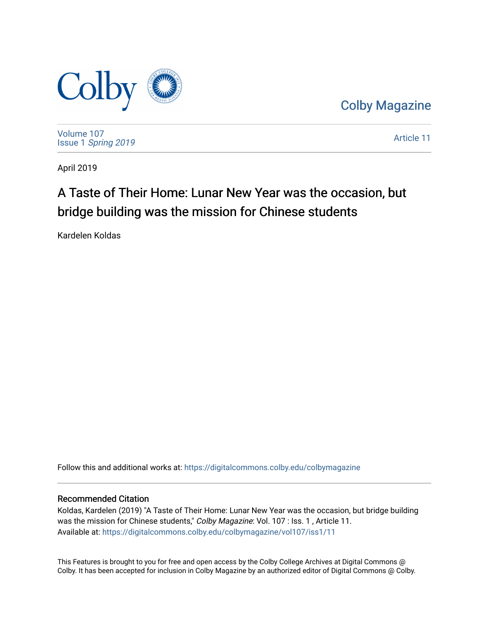

[Colby Magazine](https://digitalcommons.colby.edu/colbymagazine) 

[Volume 107](https://digitalcommons.colby.edu/colbymagazine/vol107) Issue 1 [Spring 2019](https://digitalcommons.colby.edu/colbymagazine/vol107/iss1) 

[Article 11](https://digitalcommons.colby.edu/colbymagazine/vol107/iss1/11) 

April 2019

## A Taste of Their Home: Lunar New Year was the occasion, but bridge building was the mission for Chinese students

Kardelen Koldas

Follow this and additional works at: [https://digitalcommons.colby.edu/colbymagazine](https://digitalcommons.colby.edu/colbymagazine?utm_source=digitalcommons.colby.edu%2Fcolbymagazine%2Fvol107%2Fiss1%2F11&utm_medium=PDF&utm_campaign=PDFCoverPages)

## Recommended Citation

Koldas, Kardelen (2019) "A Taste of Their Home: Lunar New Year was the occasion, but bridge building was the mission for Chinese students," Colby Magazine: Vol. 107 : Iss. 1, Article 11. Available at: [https://digitalcommons.colby.edu/colbymagazine/vol107/iss1/11](https://digitalcommons.colby.edu/colbymagazine/vol107/iss1/11?utm_source=digitalcommons.colby.edu%2Fcolbymagazine%2Fvol107%2Fiss1%2F11&utm_medium=PDF&utm_campaign=PDFCoverPages)

This Features is brought to you for free and open access by the Colby College Archives at Digital Commons @ Colby. It has been accepted for inclusion in Colby Magazine by an authorized editor of Digital Commons @ Colby.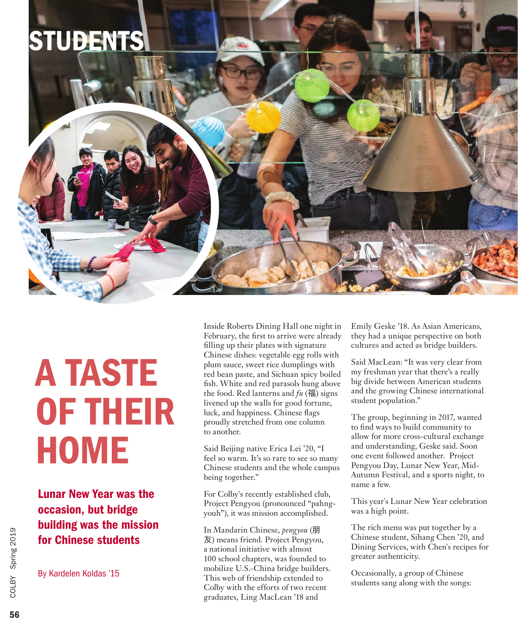

## A TASTE OF THEIR **HOME**

Lunar New Year was the occasion, but bridge building was the mission for Chinese students

By Kardelen Koldas '15

Inside Roberts Dining Hall one night in February, the first to arrive were already filling up their plates with signature Chinese dishes: vegetable egg rolls with plum sauce, sweet rice dumplings with red bean paste, and Sichuan spicy boiled fish. White and red parasols hung above the food. Red lanterns and *fu* (福) signs livened up the walls for good fortune, luck, and happiness. Chinese flags proudly stretched from one column to another.

Said Beijing native Erica Lei '20, "I feel so warm. It's so rare to see so many Chinese students and the whole campus being together."

For Colby's recently established club, Project Pengyou (pronounced "pahngyouh"), it was mission accomplished.

In Mandarin Chinese, *pengyou* (朋 友) means friend. Project Pengyou, a national initiative with almost 100 school chapters, was founded to mobilize U.S.-China bridge builders. This web of friendship extended to Colby with the efforts of two recent graduates, Ling MacLean '18 and

Emily Geske '18. As Asian Americans, they had a unique perspective on both cultures and acted as bridge builders.

Said MacLean: "It was very clear from my freshman year that there's a really big divide between American students and the growing Chinese international student population."

The group, beginning in 2017, wanted to find ways to build community to allow for more cross-cultural exchange and understanding, Geske said. Soon one event followed another. Project Pengyou Day, Lunar New Year, Mid-Autumn Festival, and a sports night, to name a few.

This year's Lunar New Year celebration was a high point.

The rich menu was put together by a Chinese student, Sihang Chen '20, and Dining Services, with Chen's recipes for greater authenticity.

Occasionally, a group of Chinese students sang along with the songs: